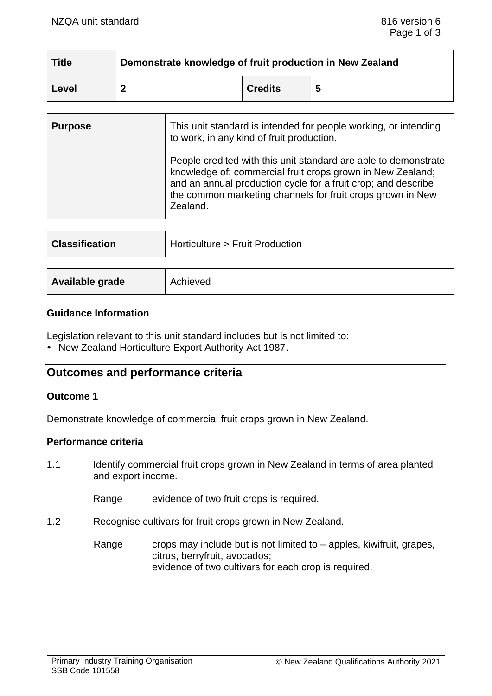| <b>Title</b> | Demonstrate knowledge of fruit production in New Zealand |                |  |
|--------------|----------------------------------------------------------|----------------|--|
| Level        |                                                          | <b>Credits</b> |  |

| <b>Purpose</b> | This unit standard is intended for people working, or intending<br>to work, in any kind of fruit production.                                                                                                                                                             |
|----------------|--------------------------------------------------------------------------------------------------------------------------------------------------------------------------------------------------------------------------------------------------------------------------|
|                | People credited with this unit standard are able to demonstrate<br>knowledge of: commercial fruit crops grown in New Zealand;<br>and an annual production cycle for a fruit crop; and describe<br>the common marketing channels for fruit crops grown in New<br>Zealand. |

| <b>Classification</b> | Horticulture > Fruit Production |  |
|-----------------------|---------------------------------|--|
|                       |                                 |  |
| Available grade       | Achieved                        |  |

#### **Guidance Information**

Legislation relevant to this unit standard includes but is not limited to:

• New Zealand Horticulture Export Authority Act 1987.

# **Outcomes and performance criteria**

#### **Outcome 1**

Demonstrate knowledge of commercial fruit crops grown in New Zealand.

### **Performance criteria**

1.1 Identify commercial fruit crops grown in New Zealand in terms of area planted and export income.

Range evidence of two fruit crops is required.

1.2 Recognise cultivars for fruit crops grown in New Zealand.

Range crops may include but is not limited to  $-$  apples, kiwifruit, grapes, citrus, berryfruit, avocados; evidence of two cultivars for each crop is required.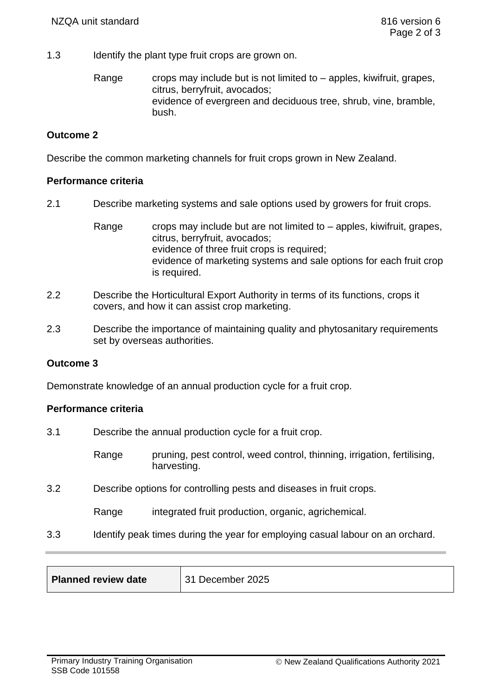1.3 Identify the plant type fruit crops are grown on.

Range crops may include but is not limited to  $-$  apples, kiwifruit, grapes, citrus, berryfruit, avocados; evidence of evergreen and deciduous tree, shrub, vine, bramble, bush.

## **Outcome 2**

Describe the common marketing channels for fruit crops grown in New Zealand.

### **Performance criteria**

2.1 Describe marketing systems and sale options used by growers for fruit crops.

Range crops may include but are not limited to  $-$  apples, kiwifruit, grapes, citrus, berryfruit, avocados; evidence of three fruit crops is required; evidence of marketing systems and sale options for each fruit crop is required.

- 2.2 Describe the Horticultural Export Authority in terms of its functions, crops it covers, and how it can assist crop marketing.
- 2.3 Describe the importance of maintaining quality and phytosanitary requirements set by overseas authorities.

### **Outcome 3**

Demonstrate knowledge of an annual production cycle for a fruit crop.

### **Performance criteria**

- 3.1 Describe the annual production cycle for a fruit crop.
	- Range pruning, pest control, weed control, thinning, irrigation, fertilising, harvesting.
- 3.2 Describe options for controlling pests and diseases in fruit crops.

Range integrated fruit production, organic, agrichemical.

3.3 Identify peak times during the year for employing casual labour on an orchard.

| Planned review date | 31 December 2025 |
|---------------------|------------------|
|---------------------|------------------|